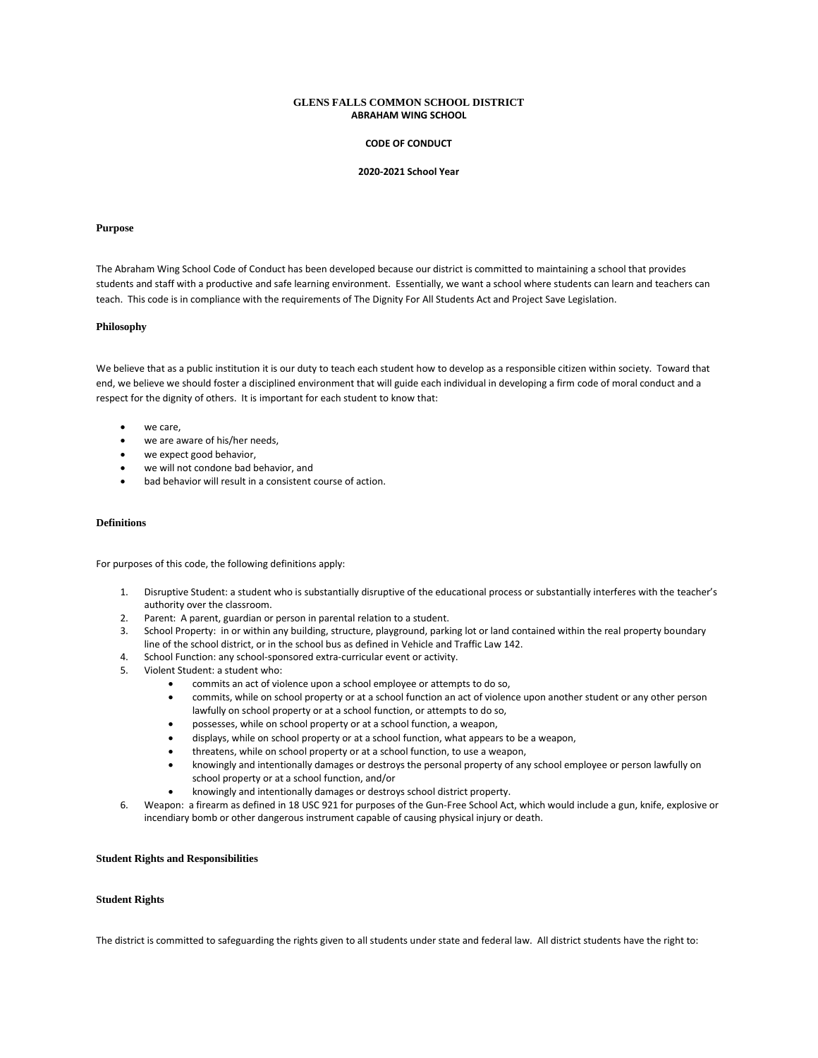# **GLENS FALLS COMMON SCHOOL DISTRICT ABRAHAM WING SCHOOL**

#### **CODE OF CONDUCT**

#### **2020-2021 School Year**

#### **Purpose**

The Abraham Wing School Code of Conduct has been developed because our district is committed to maintaining a school that provides students and staff with a productive and safe learning environment. Essentially, we want a school where students can learn and teachers can teach. This code is in compliance with the requirements of The Dignity For All Students Act and Project Save Legislation.

#### **Philosophy**

We believe that as a public institution it is our duty to teach each student how to develop as a responsible citizen within society. Toward that end, we believe we should foster a disciplined environment that will guide each individual in developing a firm code of moral conduct and a respect for the dignity of others. It is important for each student to know that:

- we care,
- we are aware of his/her needs,
- we expect good behavior,
- we will not condone bad behavior, and
- bad behavior will result in a consistent course of action.

# **Definitions**

For purposes of this code, the following definitions apply:

- 1. Disruptive Student: a student who is substantially disruptive of the educational process or substantially interferes with the teacher's authority over the classroom.
- 2. Parent: A parent, guardian or person in parental relation to a student.
- 3. School Property: in or within any building, structure, playground, parking lot or land contained within the real property boundary line of the school district, or in the school bus as defined in Vehicle and Traffic Law 142.
- 4. School Function: any school-sponsored extra-curricular event or activity.
- 5. Violent Student: a student who:
	- commits an act of violence upon a school employee or attempts to do so,
	- commits, while on school property or at a school function an act of violence upon another student or any other person lawfully on school property or at a school function, or attempts to do so,
	- possesses, while on school property or at a school function, a weapon,
	- displays, while on school property or at a school function, what appears to be a weapon,
	- threatens, while on school property or at a school function, to use a weapon,
	- knowingly and intentionally damages or destroys the personal property of any school employee or person lawfully on school property or at a school function, and/or
	- knowingly and intentionally damages or destroys school district property.
- 6. Weapon: a firearm as defined in 18 USC 921 for purposes of the Gun-Free School Act, which would include a gun, knife, explosive or incendiary bomb or other dangerous instrument capable of causing physical injury or death.

# **Student Rights and Responsibilities**

#### **Student Rights**

The district is committed to safeguarding the rights given to all students under state and federal law. All district students have the right to: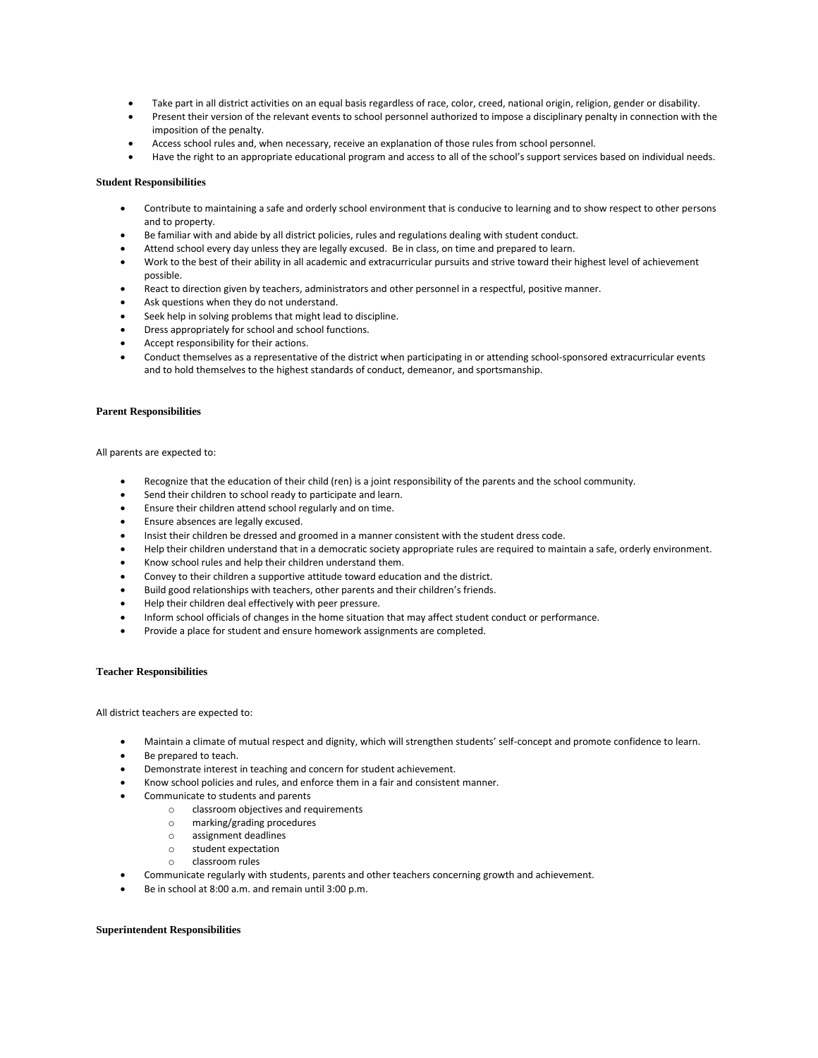- Take part in all district activities on an equal basis regardless of race, color, creed, national origin, religion, gender or disability.
- Present their version of the relevant events to school personnel authorized to impose a disciplinary penalty in connection with the imposition of the penalty.
- Access school rules and, when necessary, receive an explanation of those rules from school personnel.
- Have the right to an appropriate educational program and access to all of the school's support services based on individual needs.

# **Student Responsibilities**

- Contribute to maintaining a safe and orderly school environment that is conducive to learning and to show respect to other persons and to property.
- Be familiar with and abide by all district policies, rules and regulations dealing with student conduct.
- Attend school every day unless they are legally excused. Be in class, on time and prepared to learn.
- Work to the best of their ability in all academic and extracurricular pursuits and strive toward their highest level of achievement possible.
- React to direction given by teachers, administrators and other personnel in a respectful, positive manner.
- Ask questions when they do not understand.
- Seek help in solving problems that might lead to discipline.
- Dress appropriately for school and school functions.
- Accept responsibility for their actions.
- Conduct themselves as a representative of the district when participating in or attending school-sponsored extracurricular events and to hold themselves to the highest standards of conduct, demeanor, and sportsmanship.

#### **Parent Responsibilities**

All parents are expected to:

- Recognize that the education of their child (ren) is a joint responsibility of the parents and the school community.
- Send their children to school ready to participate and learn.
- Ensure their children attend school regularly and on time.
- Ensure absences are legally excused.
- Insist their children be dressed and groomed in a manner consistent with the student dress code.
- Help their children understand that in a democratic society appropriate rules are required to maintain a safe, orderly environment.
- Know school rules and help their children understand them.
- Convey to their children a supportive attitude toward education and the district.
- Build good relationships with teachers, other parents and their children's friends.
- Help their children deal effectively with peer pressure.
- Inform school officials of changes in the home situation that may affect student conduct or performance.
- Provide a place for student and ensure homework assignments are completed.

# **Teacher Responsibilities**

All district teachers are expected to:

- Maintain a climate of mutual respect and dignity, which will strengthen students' self-concept and promote confidence to learn.
- Be prepared to teach.
- Demonstrate interest in teaching and concern for student achievement.
- Know school policies and rules, and enforce them in a fair and consistent manner.
- Communicate to students and parents
	- o classroom objectives and requirements
	- o marking/grading procedures
	- o assignment deadlines
	- o student expectation
	- o classroom rules
- Communicate regularly with students, parents and other teachers concerning growth and achievement.
- Be in school at 8:00 a.m. and remain until 3:00 p.m.

#### **Superintendent Responsibilities**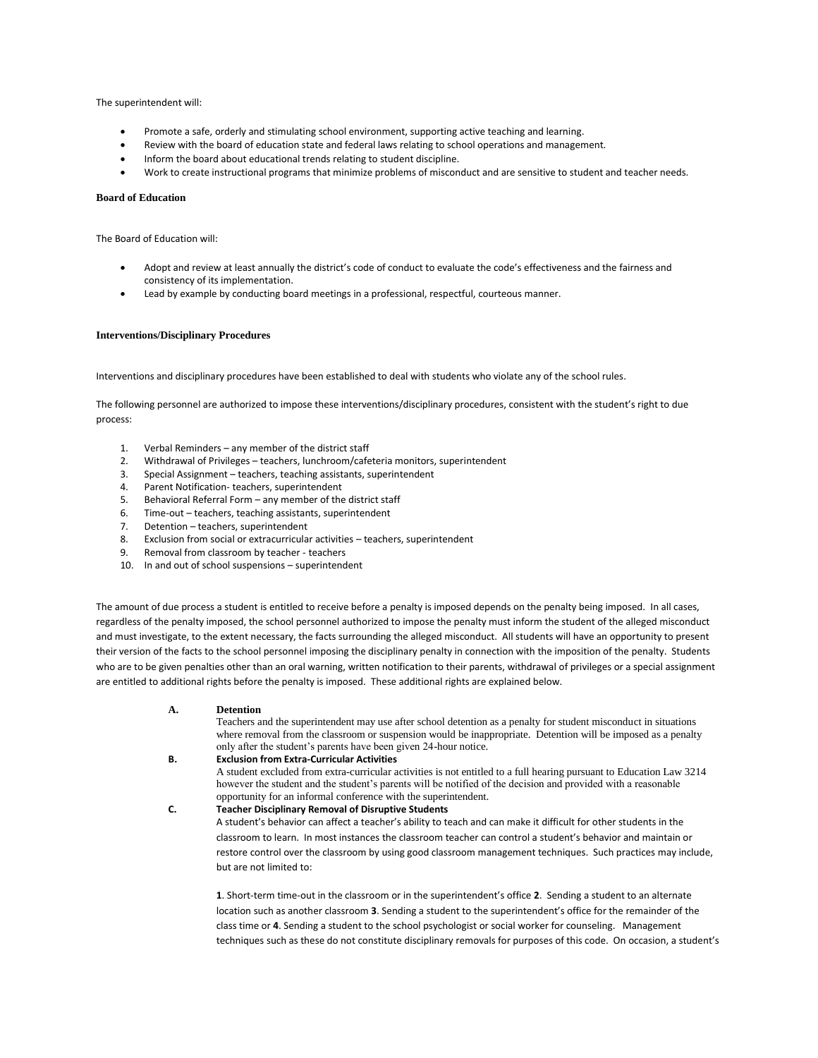The superintendent will:

- Promote a safe, orderly and stimulating school environment, supporting active teaching and learning.
- Review with the board of education state and federal laws relating to school operations and management.
- Inform the board about educational trends relating to student discipline.
- Work to create instructional programs that minimize problems of misconduct and are sensitive to student and teacher needs.

# **Board of Education**

The Board of Education will:

- Adopt and review at least annually the district's code of conduct to evaluate the code's effectiveness and the fairness and consistency of its implementation.
- Lead by example by conducting board meetings in a professional, respectful, courteous manner.

# **Interventions/Disciplinary Procedures**

Interventions and disciplinary procedures have been established to deal with students who violate any of the school rules.

The following personnel are authorized to impose these interventions/disciplinary procedures, consistent with the student's right to due process:

- 1. Verbal Reminders any member of the district staff
- 2. Withdrawal of Privileges teachers, lunchroom/cafeteria monitors, superintendent
- 3. Special Assignment teachers, teaching assistants, superintendent
- 4. Parent Notification- teachers, superintendent
- 5. Behavioral Referral Form any member of the district staff
- 6. Time-out teachers, teaching assistants, superintendent
- 7. Detention teachers, superintendent
- 8. Exclusion from social or extracurricular activities teachers, superintendent
- 9. Removal from classroom by teacher teachers
- 10. In and out of school suspensions superintendent

The amount of due process a student is entitled to receive before a penalty is imposed depends on the penalty being imposed. In all cases, regardless of the penalty imposed, the school personnel authorized to impose the penalty must inform the student of the alleged misconduct and must investigate, to the extent necessary, the facts surrounding the alleged misconduct. All students will have an opportunity to present their version of the facts to the school personnel imposing the disciplinary penalty in connection with the imposition of the penalty. Students who are to be given penalties other than an oral warning, written notification to their parents, withdrawal of privileges or a special assignment are entitled to additional rights before the penalty is imposed. These additional rights are explained below.

**A. Detention**

Teachers and the superintendent may use after school detention as a penalty for student misconduct in situations where removal from the classroom or suspension would be inappropriate. Detention will be imposed as a penalty only after the student's parents have been given 24-hour notice.

**B. Exclusion from Extra-Curricular Activities**

A student excluded from extra-curricular activities is not entitled to a full hearing pursuant to Education Law 3214 however the student and the student's parents will be notified of the decision and provided with a reasonable opportunity for an informal conference with the superintendent.

**C. Teacher Disciplinary Removal of Disruptive Students** A student's behavior can affect a teacher's ability to teach and can make it difficult for other students in the classroom to learn. In most instances the classroom teacher can control a student's behavior and maintain or restore control over the classroom by using good classroom management techniques. Such practices may include, but are not limited to:

**1**. Short-term time-out in the classroom or in the superintendent's office **2**. Sending a student to an alternate location such as another classroom **3**. Sending a student to the superintendent's office for the remainder of the class time or **4**. Sending a student to the school psychologist or social worker for counseling. Management techniques such as these do not constitute disciplinary removals for purposes of this code. On occasion, a student's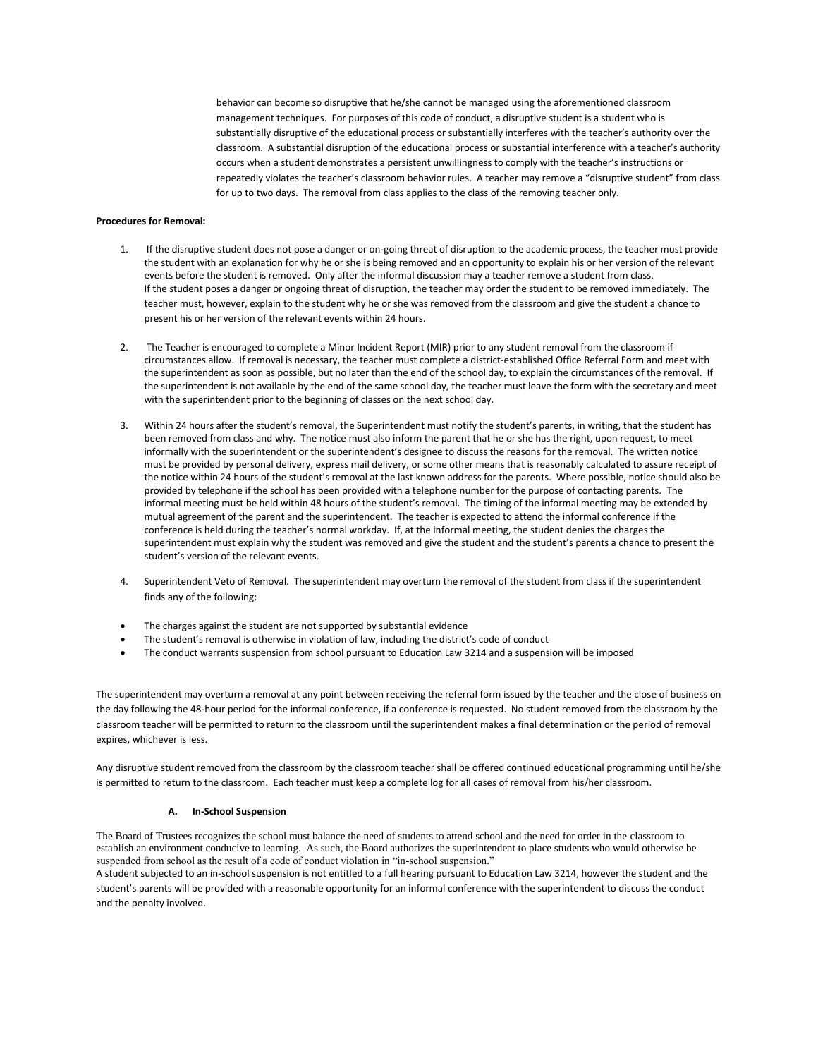behavior can become so disruptive that he/she cannot be managed using the aforementioned classroom management techniques. For purposes of this code of conduct, a disruptive student is a student who is substantially disruptive of the educational process or substantially interferes with the teacher's authority over the classroom. A substantial disruption of the educational process or substantial interference with a teacher's authority occurs when a student demonstrates a persistent unwillingness to comply with the teacher's instructions or repeatedly violates the teacher's classroom behavior rules. A teacher may remove a "disruptive student" from class for up to two days. The removal from class applies to the class of the removing teacher only.

# **Procedures for Removal:**

- 1. If the disruptive student does not pose a danger or on-going threat of disruption to the academic process, the teacher must provide the student with an explanation for why he or she is being removed and an opportunity to explain his or her version of the relevant events before the student is removed. Only after the informal discussion may a teacher remove a student from class. If the student poses a danger or ongoing threat of disruption, the teacher may order the student to be removed immediately. The teacher must, however, explain to the student why he or she was removed from the classroom and give the student a chance to present his or her version of the relevant events within 24 hours.
- 2. The Teacher is encouraged to complete a Minor Incident Report (MIR) prior to any student removal from the classroom if circumstances allow. If removal is necessary, the teacher must complete a district-established Office Referral Form and meet with the superintendent as soon as possible, but no later than the end of the school day, to explain the circumstances of the removal. If the superintendent is not available by the end of the same school day, the teacher must leave the form with the secretary and meet with the superintendent prior to the beginning of classes on the next school day.
- 3. Within 24 hours after the student's removal, the Superintendent must notify the student's parents, in writing, that the student has been removed from class and why. The notice must also inform the parent that he or she has the right, upon request, to meet informally with the superintendent or the superintendent's designee to discuss the reasons for the removal. The written notice must be provided by personal delivery, express mail delivery, or some other means that is reasonably calculated to assure receipt of the notice within 24 hours of the student's removal at the last known address for the parents. Where possible, notice should also be provided by telephone if the school has been provided with a telephone number for the purpose of contacting parents. The informal meeting must be held within 48 hours of the student's removal. The timing of the informal meeting may be extended by mutual agreement of the parent and the superintendent. The teacher is expected to attend the informal conference if the conference is held during the teacher's normal workday. If, at the informal meeting, the student denies the charges the superintendent must explain why the student was removed and give the student and the student's parents a chance to present the student's version of the relevant events.
- 4. Superintendent Veto of Removal. The superintendent may overturn the removal of the student from class if the superintendent finds any of the following:
- The charges against the student are not supported by substantial evidence
- The student's removal is otherwise in violation of law, including the district's code of conduct
- The conduct warrants suspension from school pursuant to Education Law 3214 and a suspension will be imposed

The superintendent may overturn a removal at any point between receiving the referral form issued by the teacher and the close of business on the day following the 48-hour period for the informal conference, if a conference is requested. No student removed from the classroom by the classroom teacher will be permitted to return to the classroom until the superintendent makes a final determination or the period of removal expires, whichever is less.

Any disruptive student removed from the classroom by the classroom teacher shall be offered continued educational programming until he/she is permitted to return to the classroom. Each teacher must keep a complete log for all cases of removal from his/her classroom.

#### **A. In-School Suspension**

The Board of Trustees recognizes the school must balance the need of students to attend school and the need for order in the classroom to establish an environment conducive to learning. As such, the Board authorizes the superintendent to place students who would otherwise be suspended from school as the result of a code of conduct violation in "in-school suspension." A student subjected to an in-school suspension is not entitled to a full hearing pursuant to Education Law 3214, however the student and the

student's parents will be provided with a reasonable opportunity for an informal conference with the superintendent to discuss the conduct and the penalty involved.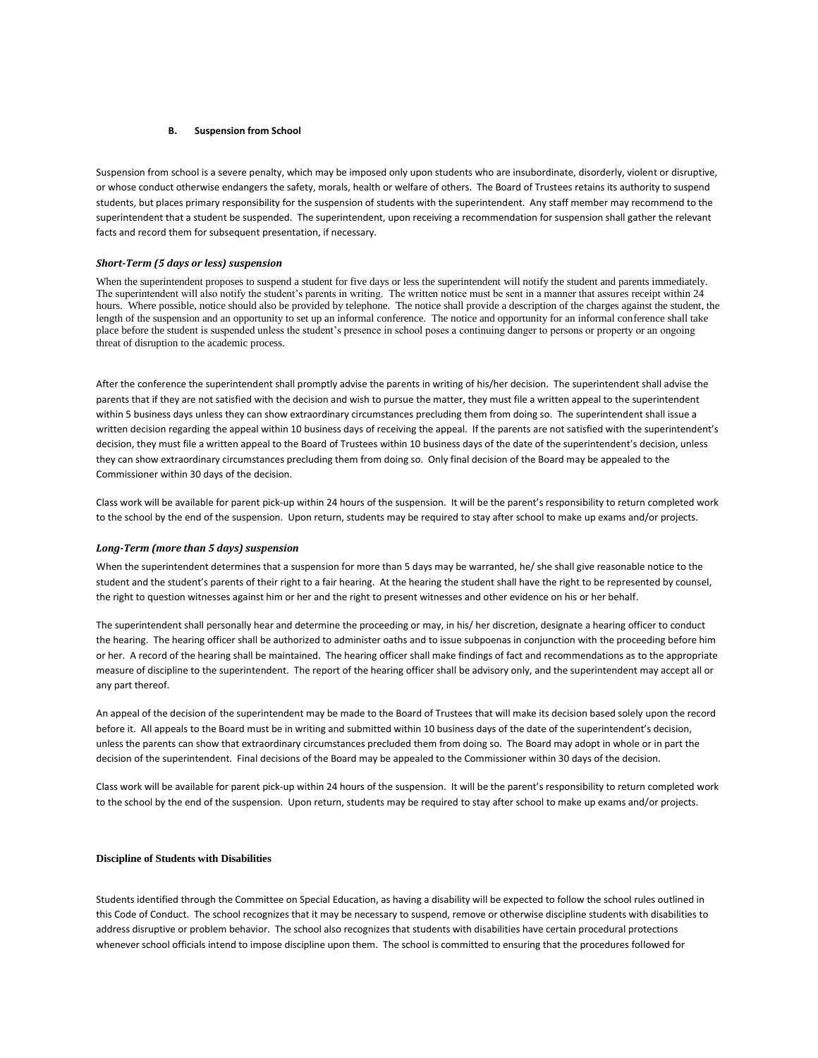# **B. Suspension from School**

Suspension from school is a severe penalty, which may be imposed only upon students who are insubordinate, disorderly, violent or disruptive, or whose conduct otherwise endangers the safety, morals, health or welfare of others. The Board of Trustees retains its authority to suspend students, but places primary responsibility for the suspension of students with the superintendent. Any staff member may recommend to the superintendent that a student be suspended. The superintendent, upon receiving a recommendation for suspension shall gather the relevant facts and record them for subsequent presentation, if necessary.

# *Short-Term (5 days or less) suspension*

When the superintendent proposes to suspend a student for five days or less the superintendent will notify the student and parents immediately. The superintendent will also notify the student's parents in writing. The written notice must be sent in a manner that assures receipt within 24 hours. Where possible, notice should also be provided by telephone. The notice shall provide a description of the charges against the student, the length of the suspension and an opportunity to set up an informal conference. The notice and opportunity for an informal conference shall take place before the student is suspended unless the student's presence in school poses a continuing danger to persons or property or an ongoing threat of disruption to the academic process.

After the conference the superintendent shall promptly advise the parents in writing of his/her decision. The superintendent shall advise the parents that if they are not satisfied with the decision and wish to pursue the matter, they must file a written appeal to the superintendent within 5 business days unless they can show extraordinary circumstances precluding them from doing so. The superintendent shall issue a written decision regarding the appeal within 10 business days of receiving the appeal. If the parents are not satisfied with the superintendent's decision, they must file a written appeal to the Board of Trustees within 10 business days of the date of the superintendent's decision, unless they can show extraordinary circumstances precluding them from doing so. Only final decision of the Board may be appealed to the Commissioner within 30 days of the decision.

Class work will be available for parent pick-up within 24 hours of the suspension. It will be the parent's responsibility to return completed work to the school by the end of the suspension. Upon return, students may be required to stay after school to make up exams and/or projects.

# *Long-Term (more than 5 days) suspension*

When the superintendent determines that a suspension for more than 5 days may be warranted, he/ she shall give reasonable notice to the student and the student's parents of their right to a fair hearing. At the hearing the student shall have the right to be represented by counsel, the right to question witnesses against him or her and the right to present witnesses and other evidence on his or her behalf.

The superintendent shall personally hear and determine the proceeding or may, in his/ her discretion, designate a hearing officer to conduct the hearing. The hearing officer shall be authorized to administer oaths and to issue subpoenas in conjunction with the proceeding before him or her. A record of the hearing shall be maintained. The hearing officer shall make findings of fact and recommendations as to the appropriate measure of discipline to the superintendent. The report of the hearing officer shall be advisory only, and the superintendent may accept all or any part thereof.

An appeal of the decision of the superintendent may be made to the Board of Trustees that will make its decision based solely upon the record before it. All appeals to the Board must be in writing and submitted within 10 business days of the date of the superintendent's decision, unless the parents can show that extraordinary circumstances precluded them from doing so. The Board may adopt in whole or in part the decision of the superintendent. Final decisions of the Board may be appealed to the Commissioner within 30 days of the decision.

Class work will be available for parent pick-up within 24 hours of the suspension. It will be the parent's responsibility to return completed work to the school by the end of the suspension. Upon return, students may be required to stay after school to make up exams and/or projects.

# **Discipline of Students with Disabilities**

Students identified through the Committee on Special Education, as having a disability will be expected to follow the school rules outlined in this Code of Conduct. The school recognizes that it may be necessary to suspend, remove or otherwise discipline students with disabilities to address disruptive or problem behavior. The school also recognizes that students with disabilities have certain procedural protections whenever school officials intend to impose discipline upon them. The school is committed to ensuring that the procedures followed for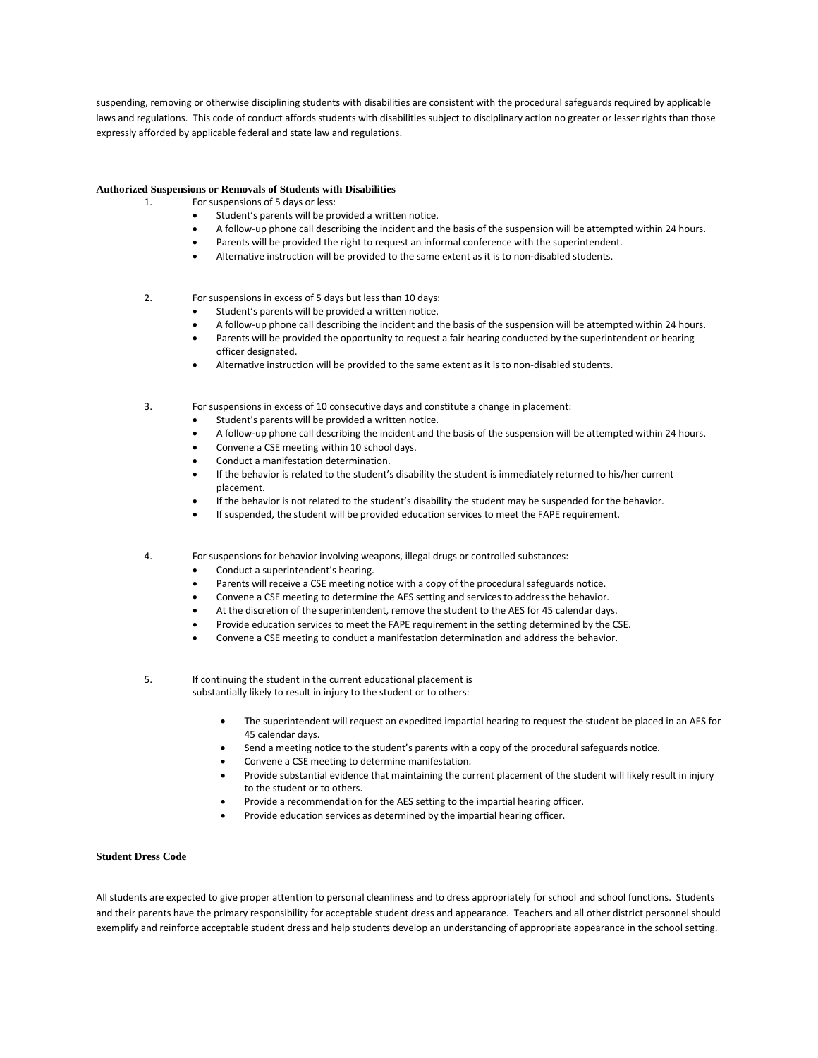suspending, removing or otherwise disciplining students with disabilities are consistent with the procedural safeguards required by applicable laws and regulations. This code of conduct affords students with disabilities subject to disciplinary action no greater or lesser rights than those expressly afforded by applicable federal and state law and regulations.

# **Authorized Suspensions or Removals of Students with Disabilities**

- 1. For suspensions of 5 days or less:
	- Student's parents will be provided a written notice.
	- A follow-up phone call describing the incident and the basis of the suspension will be attempted within 24 hours.
	- Parents will be provided the right to request an informal conference with the superintendent.
	- Alternative instruction will be provided to the same extent as it is to non-disabled students.

# 2. For suspensions in excess of 5 days but less than 10 days:

- Student's parents will be provided a written notice.
- A follow-up phone call describing the incident and the basis of the suspension will be attempted within 24 hours.
- Parents will be provided the opportunity to request a fair hearing conducted by the superintendent or hearing officer designated.
- Alternative instruction will be provided to the same extent as it is to non-disabled students.
- 3. For suspensions in excess of 10 consecutive days and constitute a change in placement:
	- Student's parents will be provided a written notice.
	- A follow-up phone call describing the incident and the basis of the suspension will be attempted within 24 hours.
	- Convene a CSE meeting within 10 school days.
	- Conduct a manifestation determination.
	- If the behavior is related to the student's disability the student is immediately returned to his/her current placement.
	- If the behavior is not related to the student's disability the student may be suspended for the behavior.
	- If suspended, the student will be provided education services to meet the FAPE requirement.
- 4. For suspensions for behavior involving weapons, illegal drugs or controlled substances:
	- Conduct a superintendent's hearing.
	- Parents will receive a CSE meeting notice with a copy of the procedural safeguards notice.
	- Convene a CSE meeting to determine the AES setting and services to address the behavior.
	- At the discretion of the superintendent, remove the student to the AES for 45 calendar days.
	- Provide education services to meet the FAPE requirement in the setting determined by the CSE.
	- Convene a CSE meeting to conduct a manifestation determination and address the behavior.
- 5. If continuing the student in the current educational placement is substantially likely to result in injury to the student or to others:
	- The superintendent will request an expedited impartial hearing to request the student be placed in an AES for 45 calendar days.
	- Send a meeting notice to the student's parents with a copy of the procedural safeguards notice.
	- Convene a CSE meeting to determine manifestation.
	- Provide substantial evidence that maintaining the current placement of the student will likely result in injury to the student or to others.
	- Provide a recommendation for the AES setting to the impartial hearing officer.
	- Provide education services as determined by the impartial hearing officer.

# **Student Dress Code**

All students are expected to give proper attention to personal cleanliness and to dress appropriately for school and school functions. Students and their parents have the primary responsibility for acceptable student dress and appearance. Teachers and all other district personnel should exemplify and reinforce acceptable student dress and help students develop an understanding of appropriate appearance in the school setting.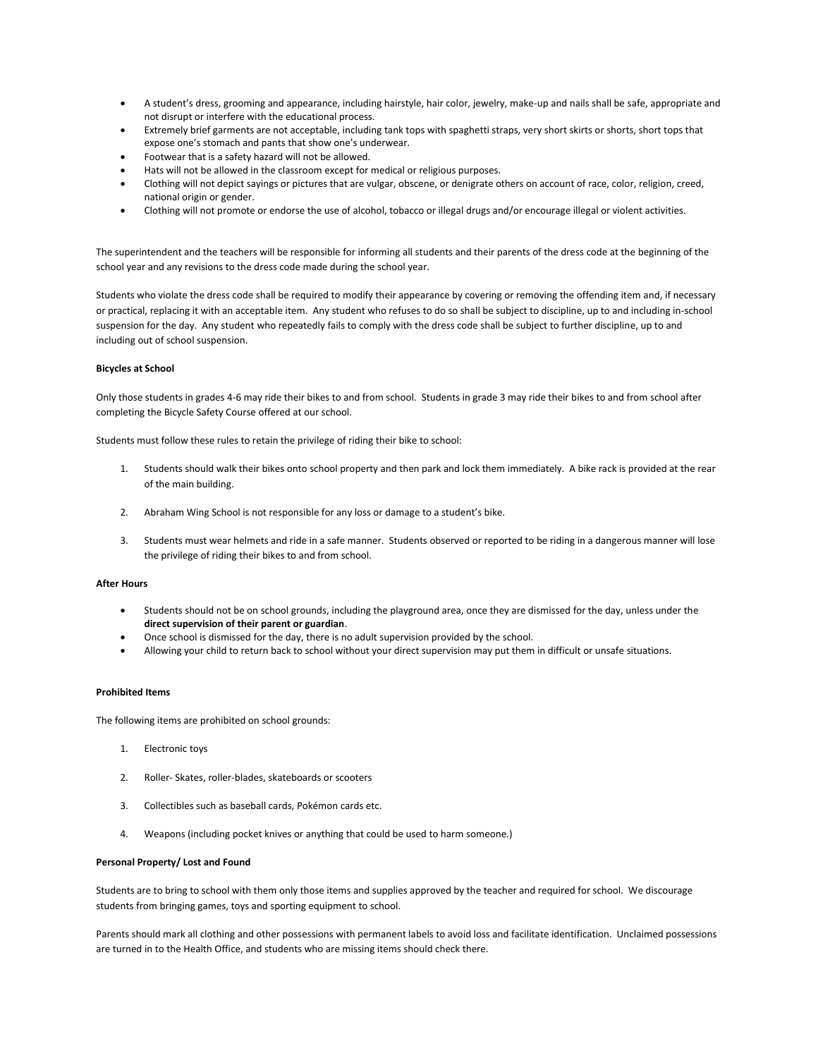- A student's dress, grooming and appearance, including hairstyle, hair color, jewelry, make-up and nails shall be safe, appropriate and not disrupt or interfere with the educational process.
- Extremely brief garments are not acceptable, including tank tops with spaghetti straps, very short skirts or shorts, short tops that expose one's stomach and pants that show one's underwear.
- Footwear that is a safety hazard will not be allowed.
- Hats will not be allowed in the classroom except for medical or religious purposes.
- Clothing will not depict sayings or pictures that are vulgar, obscene, or denigrate others on account of race, color, religion, creed, national origin or gender.
- Clothing will not promote or endorse the use of alcohol, tobacco or illegal drugs and/or encourage illegal or violent activities.

The superintendent and the teachers will be responsible for informing all students and their parents of the dress code at the beginning of the school year and any revisions to the dress code made during the school year.

Students who violate the dress code shall be required to modify their appearance by covering or removing the offending item and, if necessary or practical, replacing it with an acceptable item. Any student who refuses to do so shall be subject to discipline, up to and including in-school suspension for the day. Any student who repeatedly fails to comply with the dress code shall be subject to further discipline, up to and including out of school suspension.

# **Bicycles at School**

Only those students in grades 4-6 may ride their bikes to and from school. Students in grade 3 may ride their bikes to and from school after completing the Bicycle Safety Course offered at our school.

Students must follow these rules to retain the privilege of riding their bike to school:

- 1. Students should walk their bikes onto school property and then park and lock them immediately. A bike rack is provided at the rear of the main building.
- 2. Abraham Wing School is not responsible for any loss or damage to a student's bike.
- 3. Students must wear helmets and ride in a safe manner. Students observed or reported to be riding in a dangerous manner will lose the privilege of riding their bikes to and from school.

#### **After Hours**

- Students should not be on school grounds, including the playground area, once they are dismissed for the day, unless under the **direct supervision of their parent or guardian**.
- Once school is dismissed for the day, there is no adult supervision provided by the school.
- Allowing your child to return back to school without your direct supervision may put them in difficult or unsafe situations.

#### **Prohibited Items**

The following items are prohibited on school grounds:

- 1. Electronic toys
- 2. Roller- Skates, roller-blades, skateboards or scooters
- 3. Collectibles such as baseball cards, Pokémon cards etc.
- 4. Weapons (including pocket knives or anything that could be used to harm someone.)

#### **Personal Property/ Lost and Found**

Students are to bring to school with them only those items and supplies approved by the teacher and required for school. We discourage students from bringing games, toys and sporting equipment to school.

Parents should mark all clothing and other possessions with permanent labels to avoid loss and facilitate identification. Unclaimed possessions are turned in to the Health Office, and students who are missing items should check there.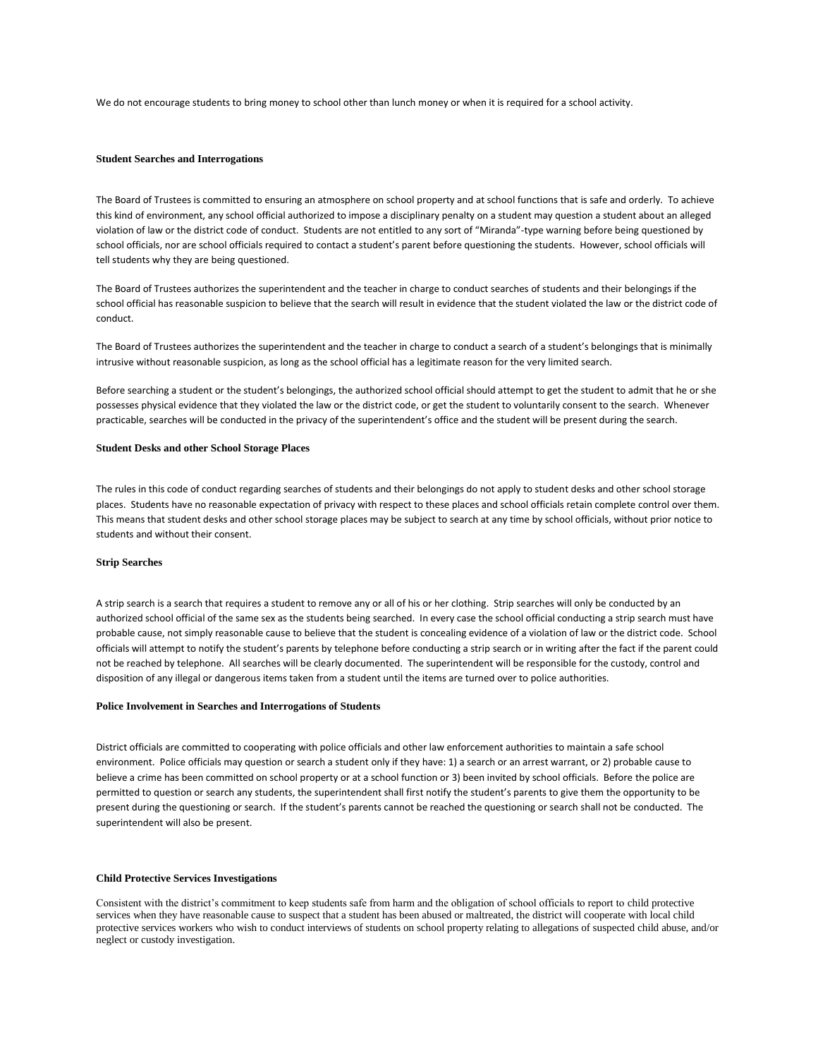We do not encourage students to bring money to school other than lunch money or when it is required for a school activity.

# **Student Searches and Interrogations**

The Board of Trustees is committed to ensuring an atmosphere on school property and at school functions that is safe and orderly. To achieve this kind of environment, any school official authorized to impose a disciplinary penalty on a student may question a student about an alleged violation of law or the district code of conduct. Students are not entitled to any sort of "Miranda"-type warning before being questioned by school officials, nor are school officials required to contact a student's parent before questioning the students. However, school officials will tell students why they are being questioned.

The Board of Trustees authorizes the superintendent and the teacher in charge to conduct searches of students and their belongings if the school official has reasonable suspicion to believe that the search will result in evidence that the student violated the law or the district code of conduct.

The Board of Trustees authorizes the superintendent and the teacher in charge to conduct a search of a student's belongings that is minimally intrusive without reasonable suspicion, as long as the school official has a legitimate reason for the very limited search.

Before searching a student or the student's belongings, the authorized school official should attempt to get the student to admit that he or she possesses physical evidence that they violated the law or the district code, or get the student to voluntarily consent to the search. Whenever practicable, searches will be conducted in the privacy of the superintendent's office and the student will be present during the search.

# **Student Desks and other School Storage Places**

The rules in this code of conduct regarding searches of students and their belongings do not apply to student desks and other school storage places. Students have no reasonable expectation of privacy with respect to these places and school officials retain complete control over them. This means that student desks and other school storage places may be subject to search at any time by school officials, without prior notice to students and without their consent.

#### **Strip Searches**

A strip search is a search that requires a student to remove any or all of his or her clothing. Strip searches will only be conducted by an authorized school official of the same sex as the students being searched. In every case the school official conducting a strip search must have probable cause, not simply reasonable cause to believe that the student is concealing evidence of a violation of law or the district code. School officials will attempt to notify the student's parents by telephone before conducting a strip search or in writing after the fact if the parent could not be reached by telephone. All searches will be clearly documented. The superintendent will be responsible for the custody, control and disposition of any illegal or dangerous items taken from a student until the items are turned over to police authorities.

#### **Police Involvement in Searches and Interrogations of Students**

District officials are committed to cooperating with police officials and other law enforcement authorities to maintain a safe school environment. Police officials may question or search a student only if they have: 1) a search or an arrest warrant, or 2) probable cause to believe a crime has been committed on school property or at a school function or 3) been invited by school officials. Before the police are permitted to question or search any students, the superintendent shall first notify the student's parents to give them the opportunity to be present during the questioning or search. If the student's parents cannot be reached the questioning or search shall not be conducted. The superintendent will also be present.

# **Child Protective Services Investigations**

Consistent with the district's commitment to keep students safe from harm and the obligation of school officials to report to child protective services when they have reasonable cause to suspect that a student has been abused or maltreated, the district will cooperate with local child protective services workers who wish to conduct interviews of students on school property relating to allegations of suspected child abuse, and/or neglect or custody investigation.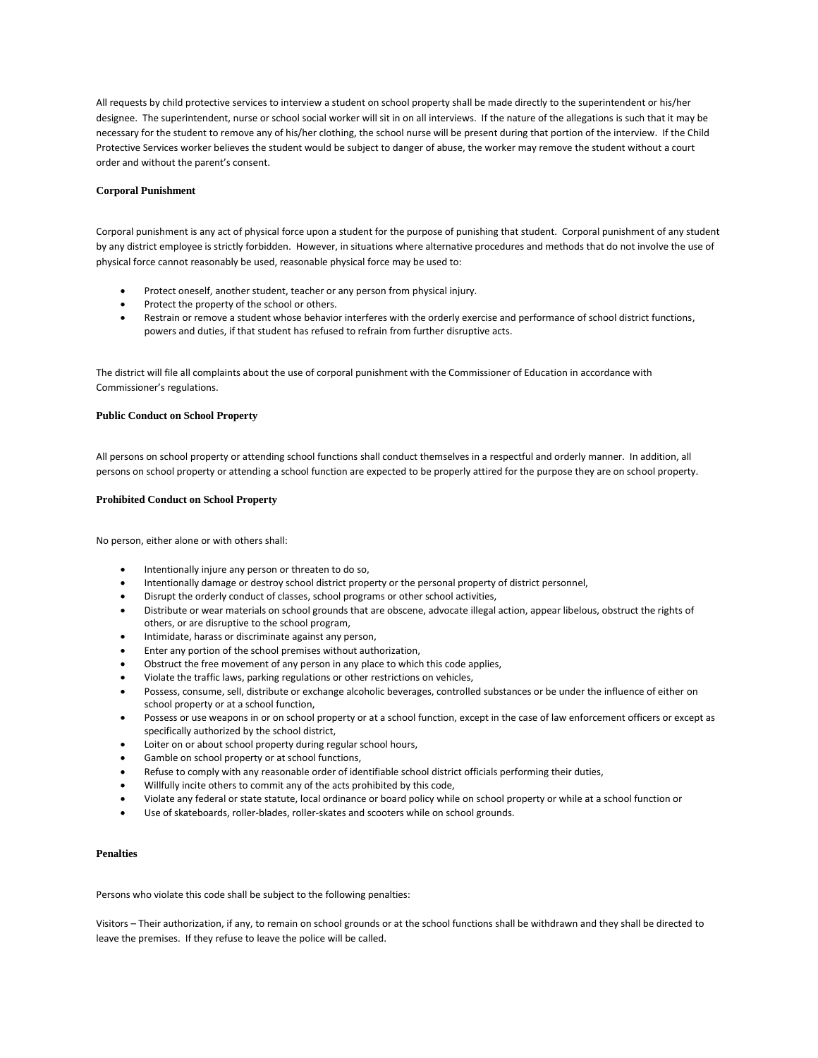All requests by child protective services to interview a student on school property shall be made directly to the superintendent or his/her designee. The superintendent, nurse or school social worker will sit in on all interviews. If the nature of the allegations is such that it may be necessary for the student to remove any of his/her clothing, the school nurse will be present during that portion of the interview. If the Child Protective Services worker believes the student would be subject to danger of abuse, the worker may remove the student without a court order and without the parent's consent.

# **Corporal Punishment**

Corporal punishment is any act of physical force upon a student for the purpose of punishing that student. Corporal punishment of any student by any district employee is strictly forbidden. However, in situations where alternative procedures and methods that do not involve the use of physical force cannot reasonably be used, reasonable physical force may be used to:

- Protect oneself, another student, teacher or any person from physical injury.
- Protect the property of the school or others.
- Restrain or remove a student whose behavior interferes with the orderly exercise and performance of school district functions, powers and duties, if that student has refused to refrain from further disruptive acts.

The district will file all complaints about the use of corporal punishment with the Commissioner of Education in accordance with Commissioner's regulations.

#### **Public Conduct on School Property**

All persons on school property or attending school functions shall conduct themselves in a respectful and orderly manner. In addition, all persons on school property or attending a school function are expected to be properly attired for the purpose they are on school property.

#### **Prohibited Conduct on School Property**

No person, either alone or with others shall:

- Intentionally injure any person or threaten to do so,
- Intentionally damage or destroy school district property or the personal property of district personnel,
- Disrupt the orderly conduct of classes, school programs or other school activities,
- Distribute or wear materials on school grounds that are obscene, advocate illegal action, appear libelous, obstruct the rights of others, or are disruptive to the school program,
- **•** Intimidate, harass or discriminate against any person,
- Enter any portion of the school premises without authorization,
- Obstruct the free movement of any person in any place to which this code applies,
- Violate the traffic laws, parking regulations or other restrictions on vehicles,
- Possess, consume, sell, distribute or exchange alcoholic beverages, controlled substances or be under the influence of either on school property or at a school function,
- Possess or use weapons in or on school property or at a school function, except in the case of law enforcement officers or except as specifically authorized by the school district,
- Loiter on or about school property during regular school hours,
- Gamble on school property or at school functions,
- Refuse to comply with any reasonable order of identifiable school district officials performing their duties,
- Willfully incite others to commit any of the acts prohibited by this code,
- Violate any federal or state statute, local ordinance or board policy while on school property or while at a school function or
- Use of skateboards, roller-blades, roller-skates and scooters while on school grounds.

#### **Penalties**

Persons who violate this code shall be subject to the following penalties:

Visitors – Their authorization, if any, to remain on school grounds or at the school functions shall be withdrawn and they shall be directed to leave the premises. If they refuse to leave the police will be called.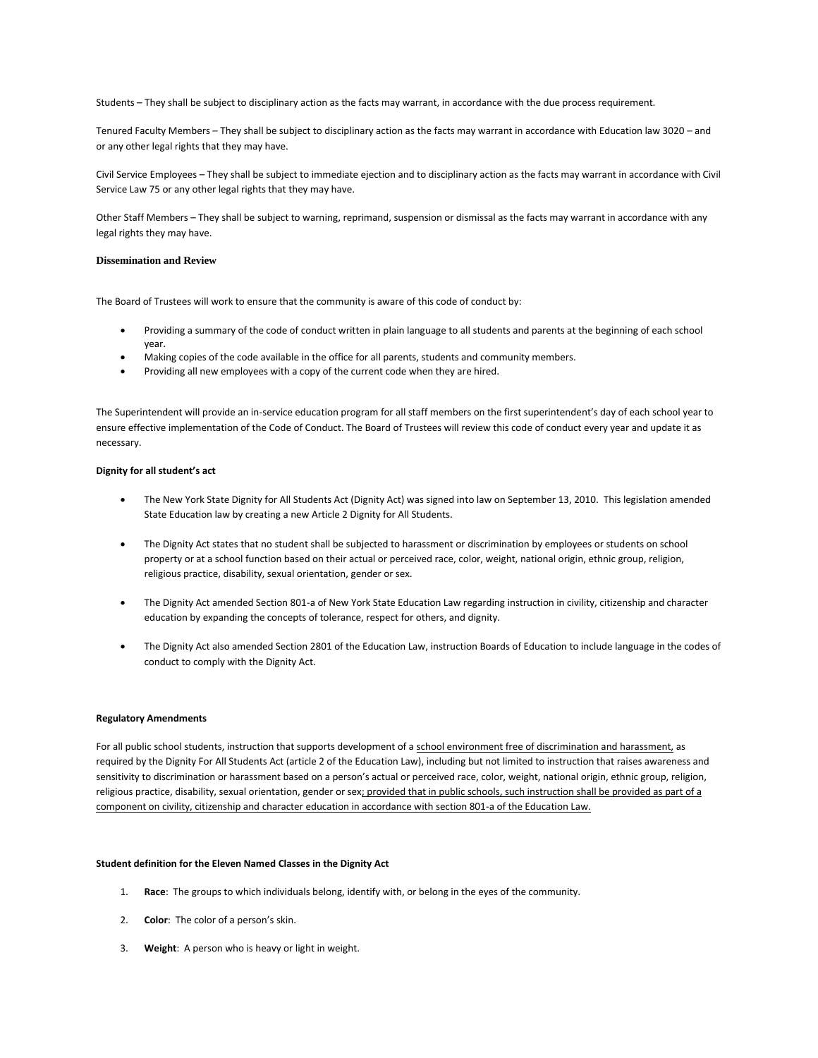Students – They shall be subject to disciplinary action as the facts may warrant, in accordance with the due process requirement.

Tenured Faculty Members – They shall be subject to disciplinary action as the facts may warrant in accordance with Education law 3020 – and or any other legal rights that they may have.

Civil Service Employees – They shall be subject to immediate ejection and to disciplinary action as the facts may warrant in accordance with Civil Service Law 75 or any other legal rights that they may have.

Other Staff Members – They shall be subject to warning, reprimand, suspension or dismissal as the facts may warrant in accordance with any legal rights they may have.

# **Dissemination and Review**

The Board of Trustees will work to ensure that the community is aware of this code of conduct by:

- Providing a summary of the code of conduct written in plain language to all students and parents at the beginning of each school year.
- Making copies of the code available in the office for all parents, students and community members.
- Providing all new employees with a copy of the current code when they are hired.

The Superintendent will provide an in-service education program for all staff members on the first superintendent's day of each school year to ensure effective implementation of the Code of Conduct. The Board of Trustees will review this code of conduct every year and update it as necessary.

#### **Dignity for all student's act**

- The New York State Dignity for All Students Act (Dignity Act) was signed into law on September 13, 2010. This legislation amended State Education law by creating a new Article 2 Dignity for All Students.
- The Dignity Act states that no student shall be subjected to harassment or discrimination by employees or students on school property or at a school function based on their actual or perceived race, color, weight, national origin, ethnic group, religion, religious practice, disability, sexual orientation, gender or sex.
- The Dignity Act amended Section 801-a of New York State Education Law regarding instruction in civility, citizenship and character education by expanding the concepts of tolerance, respect for others, and dignity.
- The Dignity Act also amended Section 2801 of the Education Law, instruction Boards of Education to include language in the codes of conduct to comply with the Dignity Act.

#### **Regulatory Amendments**

For all public school students, instruction that supports development of a school environment free of discrimination and harassment, as required by the Dignity For All Students Act (article 2 of the Education Law), including but not limited to instruction that raises awareness and sensitivity to discrimination or harassment based on a person's actual or perceived race, color, weight, national origin, ethnic group, religion, religious practice, disability, sexual orientation, gender or sex; provided that in public schools, such instruction shall be provided as part of a component on civility, citizenship and character education in accordance with section 801-a of the Education Law.

#### **Student definition for the Eleven Named Classes in the Dignity Act**

- 1. **Race**: The groups to which individuals belong, identify with, or belong in the eyes of the community.
- 2. **Color**: The color of a person's skin.
- 3. **Weight**: A person who is heavy or light in weight.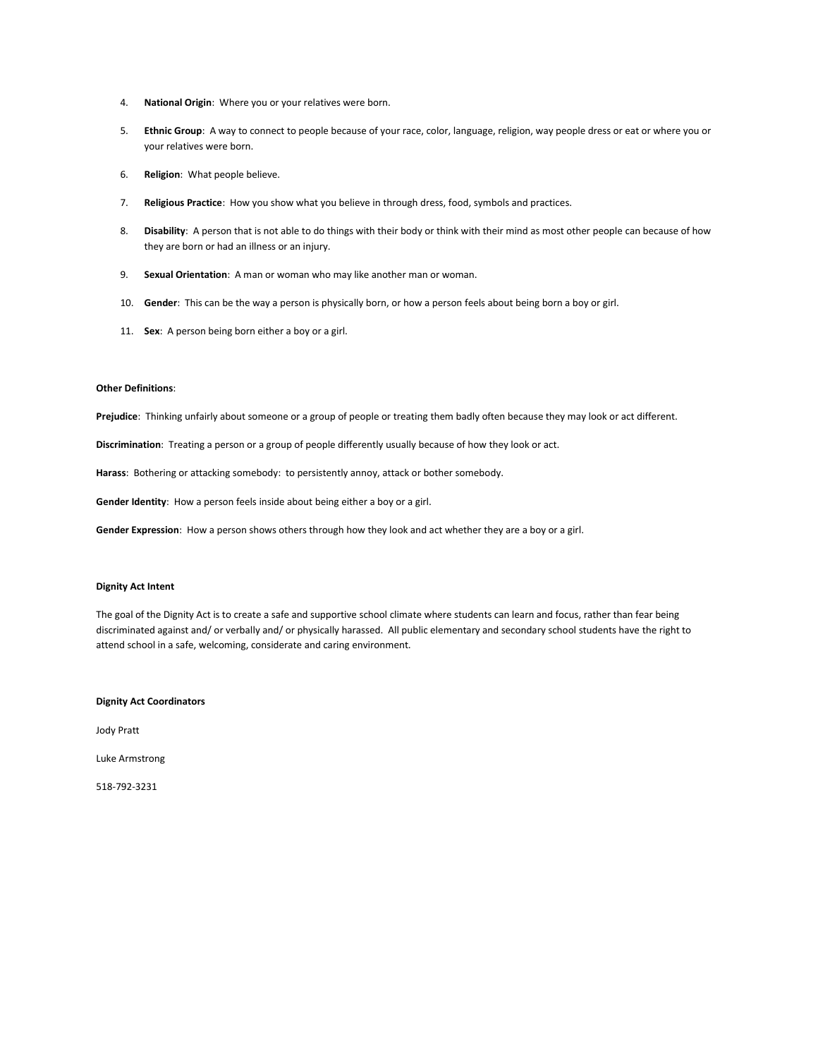- 4. **National Origin**: Where you or your relatives were born.
- 5. **Ethnic Group**: A way to connect to people because of your race, color, language, religion, way people dress or eat or where you or your relatives were born.
- 6. **Religion**: What people believe.
- 7. **Religious Practice**: How you show what you believe in through dress, food, symbols and practices.
- 8. **Disability**: A person that is not able to do things with their body or think with their mind as most other people can because of how they are born or had an illness or an injury.
- 9. **Sexual Orientation**: A man or woman who may like another man or woman.
- 10. **Gender**: This can be the way a person is physically born, or how a person feels about being born a boy or girl.
- 11. **Sex**: A person being born either a boy or a girl.

# **Other Definitions**:

**Prejudice**: Thinking unfairly about someone or a group of people or treating them badly often because they may look or act different.

**Discrimination**: Treating a person or a group of people differently usually because of how they look or act.

**Harass**: Bothering or attacking somebody: to persistently annoy, attack or bother somebody.

**Gender Identity**: How a person feels inside about being either a boy or a girl.

**Gender Expression**: How a person shows others through how they look and act whether they are a boy or a girl.

# **Dignity Act Intent**

The goal of the Dignity Act is to create a safe and supportive school climate where students can learn and focus, rather than fear being discriminated against and/ or verbally and/ or physically harassed. All public elementary and secondary school students have the right to attend school in a safe, welcoming, considerate and caring environment.

# **Dignity Act Coordinators**

Jody Pratt

Luke Armstrong

518-792-3231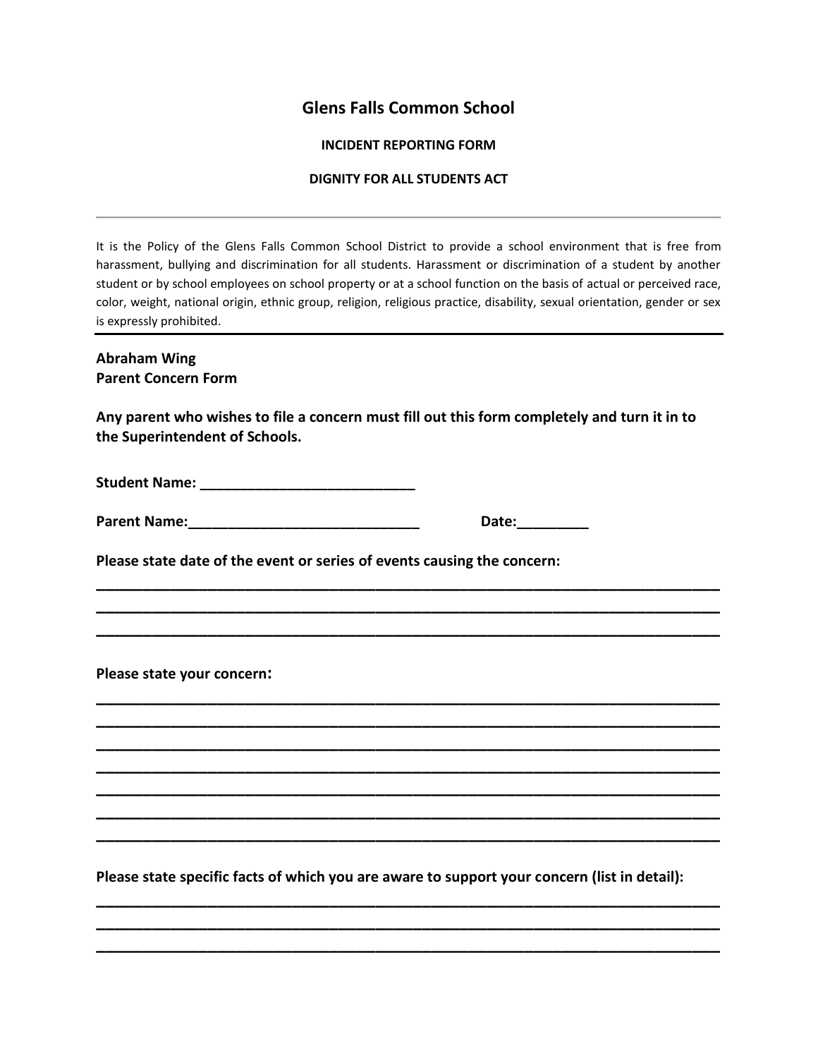# **Glens Falls Common School**

# **INCIDENT REPORTING FORM**

# **DIGNITY FOR ALL STUDENTS ACT**

It is the Policy of the Glens Falls Common School District to provide a school environment that is free from harassment, bullying and discrimination for all students. Harassment or discrimination of a student by another student or by school employees on school property or at a school function on the basis of actual or perceived race, color, weight, national origin, ethnic group, religion, religious practice, disability, sexual orientation, gender or sex is expressly prohibited.

# **Abraham Wing Parent Concern Form**

**Any parent who wishes to file a concern must fill out this form completely and turn it in to the Superintendent of Schools.**

**\_\_\_\_\_\_\_\_\_\_\_\_\_\_\_\_\_\_\_\_\_\_\_\_\_\_\_\_\_\_\_\_\_\_\_\_\_\_\_\_\_\_\_\_\_\_\_\_\_\_\_\_\_\_\_\_\_\_\_\_\_\_\_\_\_\_\_ \_\_\_\_\_\_\_\_\_\_\_\_\_\_\_\_\_\_\_\_\_\_\_\_\_\_\_\_\_\_\_\_\_\_\_\_\_\_\_\_\_\_\_\_\_\_\_\_\_\_\_\_\_\_\_\_\_\_\_\_\_\_\_\_\_\_\_ \_\_\_\_\_\_\_\_\_\_\_\_\_\_\_\_\_\_\_\_\_\_\_\_\_\_\_\_\_\_\_\_\_\_\_\_\_\_\_\_\_\_\_\_\_\_\_\_\_\_\_\_\_\_\_\_\_\_\_\_\_\_\_\_\_\_\_**

**\_\_\_\_\_\_\_\_\_\_\_\_\_\_\_\_\_\_\_\_\_\_\_\_\_\_\_\_\_\_\_\_\_\_\_\_\_\_\_\_\_\_\_\_\_\_\_\_\_\_\_\_\_\_\_\_\_\_\_\_\_\_\_\_\_\_\_ \_\_\_\_\_\_\_\_\_\_\_\_\_\_\_\_\_\_\_\_\_\_\_\_\_\_\_\_\_\_\_\_\_\_\_\_\_\_\_\_\_\_\_\_\_\_\_\_\_\_\_\_\_\_\_\_\_\_\_\_\_\_\_\_\_\_\_ \_\_\_\_\_\_\_\_\_\_\_\_\_\_\_\_\_\_\_\_\_\_\_\_\_\_\_\_\_\_\_\_\_\_\_\_\_\_\_\_\_\_\_\_\_\_\_\_\_\_\_\_\_\_\_\_\_\_\_\_\_\_\_\_\_\_\_ \_\_\_\_\_\_\_\_\_\_\_\_\_\_\_\_\_\_\_\_\_\_\_\_\_\_\_\_\_\_\_\_\_\_\_\_\_\_\_\_\_\_\_\_\_\_\_\_\_\_\_\_\_\_\_\_\_\_\_\_\_\_\_\_\_\_\_ \_\_\_\_\_\_\_\_\_\_\_\_\_\_\_\_\_\_\_\_\_\_\_\_\_\_\_\_\_\_\_\_\_\_\_\_\_\_\_\_\_\_\_\_\_\_\_\_\_\_\_\_\_\_\_\_\_\_\_\_\_\_\_\_\_\_\_ \_\_\_\_\_\_\_\_\_\_\_\_\_\_\_\_\_\_\_\_\_\_\_\_\_\_\_\_\_\_\_\_\_\_\_\_\_\_\_\_\_\_\_\_\_\_\_\_\_\_\_\_\_\_\_\_\_\_\_\_\_\_\_\_\_\_\_ \_\_\_\_\_\_\_\_\_\_\_\_\_\_\_\_\_\_\_\_\_\_\_\_\_\_\_\_\_\_\_\_\_\_\_\_\_\_\_\_\_\_\_\_\_\_\_\_\_\_\_\_\_\_\_\_\_\_\_\_\_\_\_\_\_\_\_**

**Student Name: \_\_\_\_\_\_\_\_\_\_\_\_\_\_\_\_\_\_\_\_\_\_\_\_\_\_\_**

| <b>Parent Name:</b> |  |
|---------------------|--|
|                     |  |

**Parent Name:\_\_\_\_\_\_\_\_\_\_\_\_\_\_\_\_\_\_\_\_\_\_\_\_\_\_\_\_\_ Date:\_\_\_\_\_\_\_\_\_**

**Please state date of the event or series of events causing the concern:**

**Please state your concern:** 

**Please state specific facts of which you are aware to support your concern (list in detail):**

**\_\_\_\_\_\_\_\_\_\_\_\_\_\_\_\_\_\_\_\_\_\_\_\_\_\_\_\_\_\_\_\_\_\_\_\_\_\_\_\_\_\_\_\_\_\_\_\_\_\_\_\_\_\_\_\_\_\_\_\_\_\_\_\_\_\_\_ \_\_\_\_\_\_\_\_\_\_\_\_\_\_\_\_\_\_\_\_\_\_\_\_\_\_\_\_\_\_\_\_\_\_\_\_\_\_\_\_\_\_\_\_\_\_\_\_\_\_\_\_\_\_\_\_\_\_\_\_\_\_\_\_\_\_\_ \_\_\_\_\_\_\_\_\_\_\_\_\_\_\_\_\_\_\_\_\_\_\_\_\_\_\_\_\_\_\_\_\_\_\_\_\_\_\_\_\_\_\_\_\_\_\_\_\_\_\_\_\_\_\_\_\_\_\_\_\_\_\_\_\_\_\_**